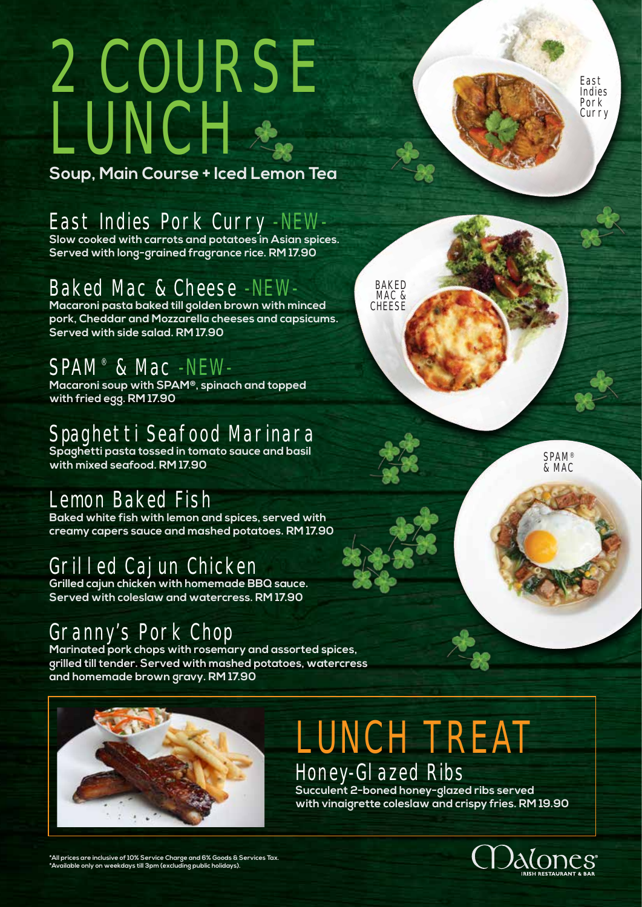# 2 COURSE LUNCH

**Soup, Main Course + Iced Lemon Tea**

East Indies Pork Curry -NEW-

**Slow cooked with carrots and potatoes in Asian spices. Served with long-grained fragrance rice. RM 17.90**

# Baked Mac & Cheese -NEW-

**Macaroni pasta baked till golden brown with minced pork, Cheddar and Mozzarella cheeses and capsicums. Served with side salad. RM 17.90**

## SPAM® & Mac -NEW-

**Macaroni soup with SPAM®, spinach and topped with fried egg. RM 17.90**

## Spaghetti Seafood Marinara

**Spaghetti pasta tossed in tomato sauce and basil with mixed seafood. RM 17.90**

#### Lemon Baked Fish

**Baked white fish with lemon and spices, served with creamy capers sauce and mashed potatoes. RM 17.90**

#### Grilled Cajun Chicken

**Grilled cajun chicken with homemade BBQ sauce. Served with coleslaw and watercress. RM 17.90**

#### Granny's Pork Chop

**Marinated pork chops with rosemary and assorted spices, grilled till tender. Served with mashed potatoes, watercress and homemade brown gravy. RM 17.90**



# LUNCH TREAT Honey-Glazed Ribs

**Succulent 2-boned honey-glazed ribs served with vinaigrette coleslaw and crispy fries. RM 19.90**



**\*All prices are inclusive of 10% Service Charge and 6% Goods & Services Tax. \*Available only on weekdays till 3pm (excluding public holidays).**

**BAKED** MAC & **CHEESE** 

> **SPAM®** & MAC

East Indies Pork Curry